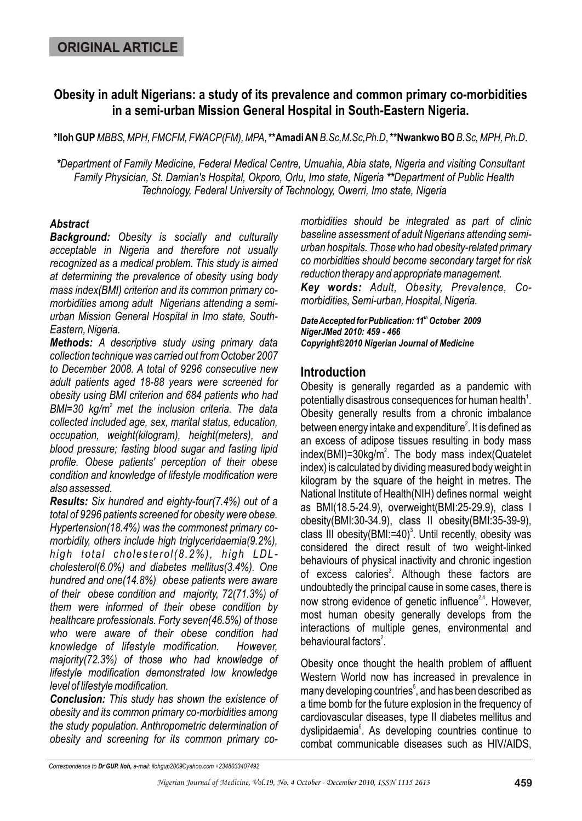# **Obesity in adult Nigerians: a study of its prevalence and common primary co-morbidities in a semi-urban Mission General Hospital in South-Eastern Nigeria.**

 **\*Iloh GUP***MBBS, MPH, FMCFM, FWACP(FM), MPA*, **\*\*Amadi AN***B.Sc,M.Sc,Ph.D*, **\*\*Nwankwo BO** *B.Sc, MPH, Ph.D*.

*\*Department of Family Medicine, Federal Medical Centre, Umuahia, Abia state, Nigeria and visiting Consultant Family Physician, St. Damian's Hospital, Okporo, Orlu, Imo state, Nigeria \*\*Department of Public Health Technology, Federal University of Technology, Owerri, Imo state, Nigeria*

### *Abstract*

*Background: Obesity is socially and culturally acceptable in Nigeria and therefore not usually recognized as a medical problem. This study is aimed at determining the prevalence of obesity using body mass index(BMI) criterion and its common primary comorbidities among adult Nigerians attending a semiurban Mission General Hospital in Imo state, South-Eastern, Nigeria.*

*Methods: A descriptive study using primary data collection technique was carried out from October 2007 to December 2008. A total of 9296 consecutive new adult patients aged 18-88 years were screened for obesity using BMI criterion and 684 patients who had <sup>2</sup>BMI=30 kg/m met the inclusion criteria. The data collected included age, sex, marital status, education, occupation, weight(kilogram), height(meters), and blood pressure; fasting blood sugar and fasting lipid profile. Obese patients' perception of their obese condition and knowledge of lifestyle modification were also assessed.*

*Results: Six hundred and eighty-four(7.4%) out of a total of 9296 patients screened for obesity were obese. Hypertension(18.4%) was the commonest primary comorbidity, others include high triglyceridaemia(9.2%), high total cholesterol(8.2%), high LDLcholesterol(6.0%) and diabetes mellitus(3.4%). One hundred and one(14.8%) obese patients were aware of their obese condition and majority, 72(71.3%) of them were informed of their obese condition by healthcare professionals. Forty seven(46.5%) of those who were aware of their obese condition had knowledge of lifestyle modification. However, majority(72.3%) of those who had knowledge of lifestyle modification demonstrated low knowledge level of lifestyle modification.*

*Conclusion: This study has shown the existence of obesity and its common primary co-morbidities among the study population. Anthropometric determination of obesity and screening for its common primary co-* *morbidities should be integrated as part of clinic baseline assessment of adult Nigerians attending semiurban hospitals. Those who had obesity-related primary co morbidities should become secondary target for risk reduction therapy and appropriate management.*

*Key words: Adult, Obesity, Prevalence, Comorbidities, Semi-urban, Hospital, Nigeria.* 

**Date Accepted for Publication: 11<sup>th</sup> October 2009** *NigerJMed 2010: 459 - 466 Copyright©2010 Nigerian Journal of Medicine*

### **Introduction**

Obesity is generally regarded as a pandemic with potentially disastrous consequences for human health $^{\prime}$ . Obesity generally results from a chronic imbalance between energy intake and expenditure $\mathrm{^2}.$  It is defined as an excess of adipose tissues resulting in body mass index(BMI)=30kg/m<sup>2</sup>. The body mass index(Quatelet index) is calculated by dividing measured body weight in kilogram by the square of the height in metres. The National Institute of Health(NIH) defines normal weight as BMI(18.5-24.9), overweight(BMI:25-29.9), class I obesity(BMI:30-34.9), class II obesity(BMI:35-39-9), class III obesity(BMI:=40)<sup>3</sup>. Until recently, obesity was considered the direct result of two weight-linked behaviours of physical inactivity and chronic ingestion of excess calories<sup>2</sup>. Although these factors are undoubtedly the principal cause in some cases, there is now strong evidence of genetic influence<sup>24</sup>. However, most human obesity generally develops from the interactions of multiple genes, environmental and behavioural factors<sup>2</sup>.

Obesity once thought the health problem of affluent Western World now has increased in prevalence in many developing countries<sup>5</sup>, and has been described as a time bomb for the future explosion in the frequency of cardiovascular diseases, type II diabetes mellitus and dyslipidaemia<sup>6</sup>. As developing countries continue to combat communicable diseases such as HIV/AIDS,

*Correspondence to Dr GUP. Iloh, e-mail: ilohgup2009©yahoo.com +2348033407492*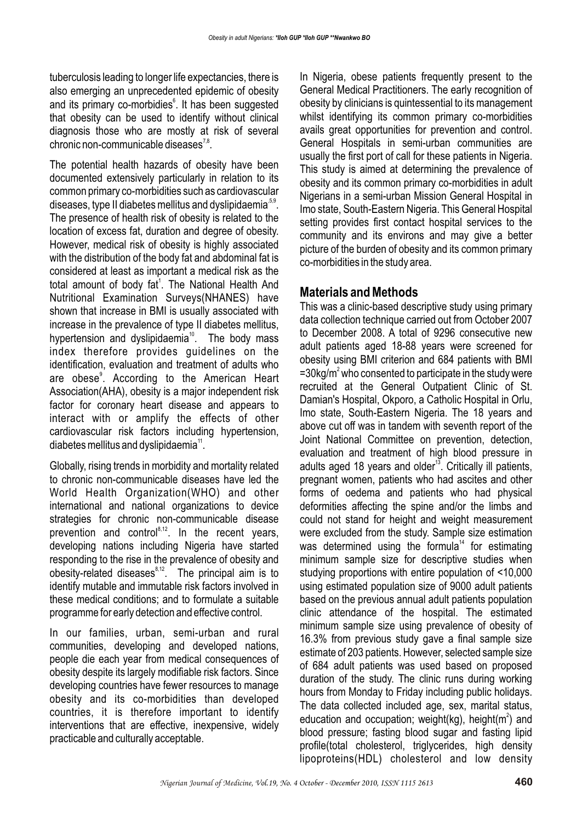tuberculosis leading to longer life expectancies, there is also emerging an unprecedented epidemic of obesity and its primary co-morbidies<sup>6</sup>. It has been suggested that obesity can be used to identify without clinical diagnosis those who are mostly at risk of several chronic non-communicable diseases $^{7,8}$ .

The potential health hazards of obesity have been documented extensively particularly in relation to its common primary co-morbidities such as cardiovascular diseases, type II diabetes mellitus and dyslipidaemia<sup> $5,9$ </sup>. The presence of health risk of obesity is related to the location of excess fat, duration and degree of obesity. However, medical risk of obesity is highly associated with the distribution of the body fat and abdominal fat is considered at least as important a medical risk as the total amount of body fat<sup>1</sup>. The National Health And Nutritional Examination Surveys(NHANES) have shown that increase in BMI is usually associated with increase in the prevalence of type II diabetes mellitus, hypertension and dyslipidaemia<sup>10</sup>. The body mass index therefore provides guidelines on the identification, evaluation and treatment of adults who are obese<sup>9</sup>. According to the American Heart Association(AHA), obesity is a major independent risk factor for coronary heart disease and appears to interact with or amplify the effects of other cardiovascular risk factors including hypertension,  $diabetes$  mellitus and dyslipidaemia $<sup>11</sup>$ .</sup>

Globally, rising trends in morbidity and mortality related to chronic non-communicable diseases have led the World Health Organization(WHO) and other international and national organizations to device strategies for chronic non-communicable disease prevention and control<sup> $8,12$ </sup>. In the recent years, developing nations including Nigeria have started responding to the rise in the prevalence of obesity and  $\frac{1}{2}$  obesity-related diseases  $\frac{1}{2}$ . The principal aim is to identify mutable and immutable risk factors involved in these medical conditions; and to formulate a suitable programme for early detection and effective control.

In our families, urban, semi-urban and rural communities, developing and developed nations, people die each year from medical consequences of obesity despite its largely modifiable risk factors. Since developing countries have fewer resources to manage obesity and its co-morbidities than developed countries, it is therefore important to identify interventions that are effective, inexpensive, widely practicable and culturally acceptable.

In Nigeria, obese patients frequently present to the General Medical Practitioners. The early recognition of obesity by clinicians is quintessential to its management whilst identifying its common primary co-morbidities avails great opportunities for prevention and control. General Hospitals in semi-urban communities are usually the first port of call for these patients in Nigeria. This study is aimed at determining the prevalence of obesity and its common primary co-morbidities in adult Nigerians in a semi-urban Mission General Hospital in Imo state, South-Eastern Nigeria. This General Hospital setting provides first contact hospital services to the community and its environs and may give a better picture of the burden of obesity and its common primary co-morbidities in the study area.

### **Materials and Methods**

This was a clinic-based descriptive study using primary data collection technique carried out from October 2007 to December 2008. A total of 9296 consecutive new adult patients aged 18-88 years were screened for obesity using BMI criterion and 684 patients with BMI  $=$ 30kg/m<sup>2</sup> who consented to participate in the study were recruited at the General Outpatient Clinic of St. Damian's Hospital, Okporo, a Catholic Hospital in Orlu, Imo state, South-Eastern Nigeria. The 18 years and above cut off was in tandem with seventh report of the Joint National Committee on prevention, detection, evaluation and treatment of high blood pressure in adults aged 18 years and older<sup>13</sup>. Critically ill patients, pregnant women, patients who had ascites and other forms of oedema and patients who had physical deformities affecting the spine and/or the limbs and could not stand for height and weight measurement were excluded from the study. Sample size estimation was determined using the formula<sup> $14$ </sup> for estimating minimum sample size for descriptive studies when studying proportions with entire population of <10,000 using estimated population size of 9000 adult patients based on the previous annual adult patients population clinic attendance of the hospital. The estimated minimum sample size using prevalence of obesity of 16.3% from previous study gave a final sample size estimate of 203 patients. However, selected sample size of 684 adult patients was used based on proposed duration of the study. The clinic runs during working hours from Monday to Friday including public holidays. The data collected included age, sex, marital status, education and occupation; weight(kg), height( $m<sup>2</sup>$ ) and blood pressure; fasting blood sugar and fasting lipid profile(total cholesterol, triglycerides, high density lipoproteins(HDL) cholesterol and low density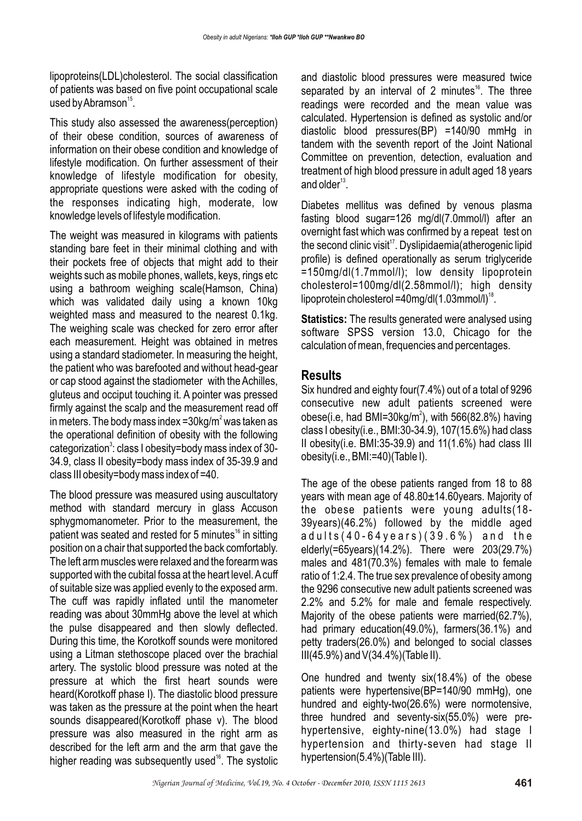lipoproteins(LDL)cholesterol. The social classification of patients was based on five point occupational scale used by Abramson $^{15}$ .

This study also assessed the awareness(perception) of their obese condition, sources of awareness of information on their obese condition and knowledge of lifestyle modification. On further assessment of their knowledge of lifestyle modification for obesity, appropriate questions were asked with the coding of the responses indicating high, moderate, low knowledge levels of lifestyle modification.

The weight was measured in kilograms with patients standing bare feet in their minimal clothing and with their pockets free of objects that might add to their weights such as mobile phones, wallets, keys, rings etc using a bathroom weighing scale(Hamson, China) which was validated daily using a known 10kg weighted mass and measured to the nearest 0.1kg. The weighing scale was checked for zero error after each measurement. Height was obtained in metres using a standard stadiometer. In measuring the height, the patient who was barefooted and without head-gear or cap stood against the stadiometer with the Achilles, gluteus and occiput touching it. A pointer was pressed firmly against the scalp and the measurement read off in meters. The body mass index = $30$ kg/m $^{\circ}$  was taken as the operational definition of obesity with the following categorization<sup>3</sup>: class I obesity=body mass index of 30-34.9, class II obesity=body mass index of 35-39.9 and class III obesity=body mass index of =40.

The blood pressure was measured using auscultatory method with standard mercury in glass Accuson sphygmomanometer. Prior to the measurement, the patient was seated and rested for 5 minutes<sup> $16$ </sup> in sitting position on a chair that supported the back comfortably. The left arm muscles were relaxed and the forearm was supported with the cubital fossa at the heart level. A cuff of suitable size was applied evenly to the exposed arm. The cuff was rapidly inflated until the manometer reading was about 30mmHg above the level at which the pulse disappeared and then slowly deflected. During this time, the Korotkoff sounds were monitored using a Litman stethoscope placed over the brachial artery. The systolic blood pressure was noted at the pressure at which the first heart sounds were heard(Korotkoff phase I). The diastolic blood pressure was taken as the pressure at the point when the heart sounds disappeared(Korotkoff phase v). The blood pressure was also measured in the right arm as described for the left arm and the arm that gave the higher reading was subsequently used $16$ . The systolic

and diastolic blood pressures were measured twice separated by an interval of 2 minutes ${}^{16}$ . The three readings were recorded and the mean value was calculated. Hypertension is defined as systolic and/or diastolic blood pressures(BP) =140/90 mmHg in tandem with the seventh report of the Joint National Committee on prevention, detection, evaluation and treatment of high blood pressure in adult aged 18 years and older $^{13}$ .

Diabetes mellitus was defined by venous plasma fasting blood sugar=126 mg/dl(7.0mmol/l) after an overnight fast which was confirmed by a repeat test on the second clinic visit<sup>17</sup>. Dyslipidaemia(atherogenic lipid profile) is defined operationally as serum triglyceride =150mg/dl(1.7mmol/l); low density lipoprotein cholesterol=100mg/dl(2.58mmol/l); high density lipoprotein cholesterol =40mg/dl(1.03mmol/l)<sup>18</sup>.

**Statistics:** The results generated were analysed using software SPSS version 13.0, Chicago for the calculation of mean, frequencies and percentages.

# **Results**

Six hundred and eighty four(7.4%) out of a total of 9296 consecutive new adult patients screened were obese(i.e, had BMI=30kg/m<sup>2</sup>), with 566(82.8%) having class I obesity(i.e., BMI:30-34.9), 107(15.6%) had class II obesity (i.e. BMI:  $35-39.9$ ) and  $11(1.6%)$  had class III obesity(i.e., BMI:=40)(Table I).

The age of the obese patients ranged from 18 to 88 years with mean age of 48.80±14.60years. Majority of the obese patients were young adults(18- 39years)(46.2%) followed by the middle aged adults(40-64years)(39.6%) and the elderly(=65years)(14.2%). There were 203(29.7%) males and 481(70.3%) females with male to female ratio of 1:2.4. The true sex prevalence of obesity among the 9296 consecutive new adult patients screened was 2.2% and 5.2% for male and female respectively. Majority of the obese patients were married(62.7%), had primary education(49.0%), farmers(36.1%) and petty traders(26.0%) and belonged to social classes III(45.9%) and V(34.4%)(Table II).

One hundred and twenty six(18.4%) of the obese patients were hypertensive(BP=140/90 mmHg), one hundred and eighty-two(26.6%) were normotensive, three hundred and seventy-six(55.0%) were prehypertensive, eighty-nine(13.0%) had stage I hypertension and thirty-seven had stage II hypertension(5.4%)(Table III).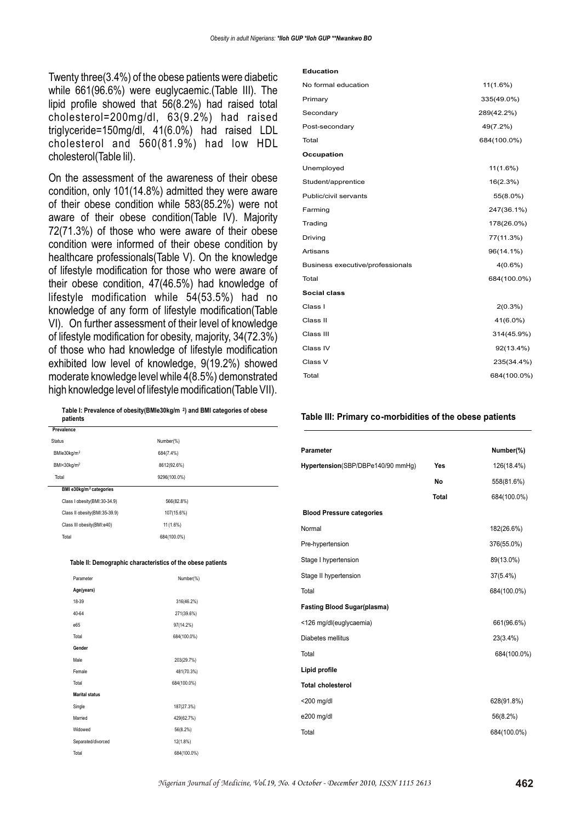Twenty three(3.4%) of the obese patients were diabetic while 661(96.6%) were euglycaemic.(Table III). The lipid profile showed that 56(8.2%) had raised total cholesterol=200mg/dl, 63(9.2%) had raised triglyceride=150mg/dl, 41(6.0%) had raised LDL cholesterol and 560(81.9%) had low HDL cholesterol(Table Iil).

On the assessment of the awareness of their obese condition, only 101(14.8%) admitted they were aware of their obese condition while 583(85.2%) were not aware of their obese condition(Table IV). Majority 72(71.3%) of those who were aware of their obese condition were informed of their obese condition by healthcare professionals(Table V). On the knowledge of lifestyle modification for those who were aware of their obese condition, 47(46.5%) had knowledge of lifestyle modification while 54(53.5%) had no knowledge of any form of lifestyle modification(Table VI). On further assessment of their level of knowledge of lifestyle modification for obesity, majority, 34(72.3%) of those who had knowledge of lifestyle modification exhibited low level of knowledge, 9(19.2%) showed moderate knowledge level while 4(8.5%) demonstrated high knowledge level of lifestyle modification(Table VII).

**Table I: Prevalence of obesity(BMIe30kg/m <sup>2</sup> ) and BMI categories of obese patients**

| Prevalence                          |              |
|-------------------------------------|--------------|
| <b>Status</b>                       | Number(%)    |
| BMle30kg/m <sup>2</sup>             | 684(7.4%)    |
| BMI<30kg/m <sup>2</sup>             | 8612(92.6%)  |
| Total                               | 9296(100.0%) |
| BMI e30kg/m <sup>2</sup> categories |              |
| Class I obesity(BMI:30-34.9)        | 566(82.8%)   |
| Class II obesity(BMI:35-39.9)       | 107(15.6%)   |
| Class III obesity(BMI:e40)          | 11 (1.6%)    |
| Total                               | 684(100.0%)  |
|                                     |              |

#### **Table II: Demographic characteristics of the obese patients**

| Parameter             | Number(%)   |
|-----------------------|-------------|
| Age(years)            |             |
| 18-39                 | 316(46.2%)  |
| 40-64                 | 271(39.6%)  |
| e65                   | 97(14.2%)   |
| Total                 | 684(100.0%) |
| Gender                |             |
| Male                  | 203(29.7%)  |
| Female                | 481(70.3%)  |
| Total                 | 684(100.0%) |
| <b>Marital status</b> |             |
| Single                | 187(27.3%)  |
| Married               | 429(62.7%)  |
| Widowed               | 56(8.2%)    |
| Separated/divorced    | 12(1.8%)    |
| Total                 | 684(100.0%) |

#### **Education**

| No formal education              | 11(1.6%)    |
|----------------------------------|-------------|
| Primary                          | 335(49.0%)  |
| Secondary                        | 289(42.2%)  |
| Post-secondary                   | 49(7.2%)    |
| Total                            | 684(100.0%) |
| Occupation                       |             |
| Unemployed                       | 11(1.6%)    |
| Student/apprentice               | 16(2.3%)    |
| Public/civil servants            | 55(8.0%)    |
| Farming                          | 247(36.1%)  |
| Trading                          | 178(26.0%)  |
| Driving                          | 77(11.3%)   |
| Artisans                         | 96(14.1%)   |
| Business executive/professionals | 4(0.6%)     |
| Total                            | 684(100.0%) |
| Social class                     |             |
| Class I                          | $2(0.3\%)$  |
| Class II                         | 41(6.0%)    |
| Class III                        | 314(45.9%)  |
| Class IV                         | 92(13.4%)   |
| Class V                          | 235(34.4%)  |
| Total                            | 684(100.0%) |
|                                  |             |

#### **Table III: Primary co-morbidities of the obese patients**

| <b>Parameter</b>                   |              | Number(%)   |
|------------------------------------|--------------|-------------|
| Hypertension(SBP/DBPe140/90 mmHg)  | Yes          | 126(18.4%)  |
|                                    | No           | 558(81.6%)  |
|                                    | <b>Total</b> | 684(100.0%) |
| <b>Blood Pressure categories</b>   |              |             |
| Normal                             |              | 182(26.6%)  |
| Pre-hypertension                   |              | 376(55.0%)  |
| Stage I hypertension               |              | 89(13.0%)   |
| Stage II hypertension              |              | 37(5.4%)    |
| Total                              |              | 684(100.0%) |
| <b>Fasting Blood Sugar(plasma)</b> |              |             |
| <126 mg/dl(euglycaemia)            |              | 661(96.6%)  |
| Diabetes mellitus                  |              | 23(3.4%)    |
| Total                              |              | 684(100.0%) |
| Lipid profile                      |              |             |
| <b>Total cholesterol</b>           |              |             |
| $<$ 200 mg/dl                      |              | 628(91.8%)  |
| e200 mg/dl                         |              | 56(8.2%)    |
| Total                              |              | 684(100.0%) |
|                                    |              |             |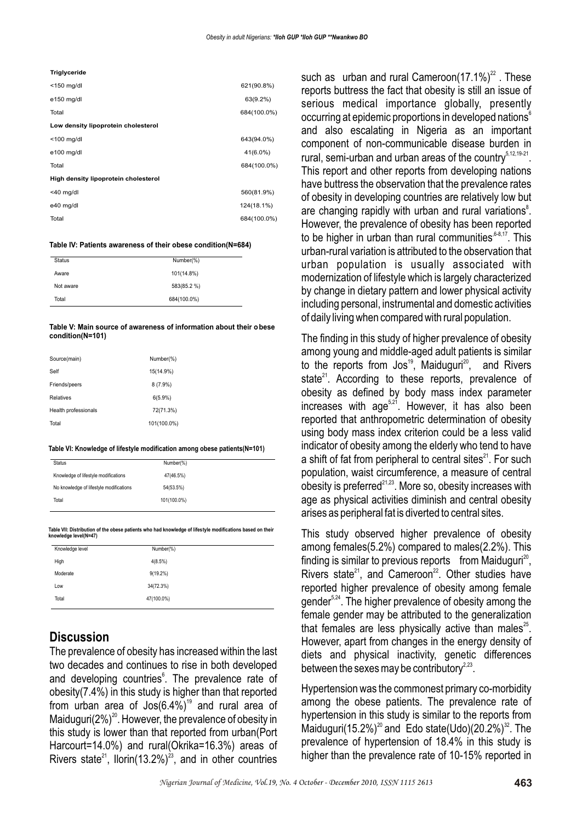#### **Triglyceride**

| $<$ 150 mg/dl                        | 621(90.8%)  |
|--------------------------------------|-------------|
| e150 mg/dl                           | 63(9.2%)    |
| Total                                | 684(100.0%) |
| Low density lipoprotein cholesterol  |             |
| $<$ 100 mg/dl                        | 643(94.0%)  |
| e100 mg/dl                           | 41(6.0%)    |
| Total                                | 684(100.0%) |
| High density lipoprotein cholesterol |             |
| $<$ 40 mg/dl                         | 560(81.9%)  |
| e40 mg/dl                            | 124(18.1%)  |
| Total                                | 684(100.0%) |

#### **Table IV: Patients awareness of their obese condition(N=684)**

| <b>Status</b> | Number(%)   |
|---------------|-------------|
| Aware         | 101(14.8%)  |
| Not aware     | 583(85.2 %) |
| Total         | 684(100.0%) |

#### **Table V: Main source of awareness of information about their obese condition(N=101)**

| Source(main)         | Number(%)   |
|----------------------|-------------|
| Self                 | 15(14.9%)   |
| Friends/peers        | 8(7.9%)     |
| Relatives            | 6(5.9%)     |
| Health professionals | 72(71.3%)   |
| Total                | 101(100.0%) |
|                      |             |

#### **Table VI: Knowledge of lifestyle modification among obese patients(N=101)**

**Table VII: Distribution of the obese patients who had knowledge of lifestyle modifications based on their knowledge level(N=47)**

| Knowledge level | Number(%)   |  |
|-----------------|-------------|--|
| High            | 4(8.5%)     |  |
| Moderate        | $9(19.2\%)$ |  |
| Low             | 34(72.3%)   |  |
| Total           | 47(100.0%)  |  |
|                 |             |  |

### **Discussion**

The prevalence of obesity has increased within the last two decades and continues to rise in both developed and developing countries<sup>6</sup>. The prevalence rate of obesity(7.4%) in this study is higher than that reported from urban area of Jos $(6.4\%)$ <sup>19</sup> and rural area of Maiduguri( $2\%)^{20}$ . However, the prevalence of obesity in this study is lower than that reported from urban(Port Harcourt=14.0%) and rural(Okrika=16.3%) areas of Rivers state<sup>21</sup>, Ilorin(13.2%)<sup>23</sup>, and in other countries

such as urban and rural Cameroon $(17.1\%)^2$ . These reports buttress the fact that obesity is still an issue of serious medical importance globally, presently occurring at epidemic proportions in developed nations $^\mathrm{s}$ and also escalating in Nigeria as an important component of non-communicable disease burden in rural, semi-urban and urban areas of the country<sup>5,12,19-21</sup>. This report and other reports from developing nations have buttress the observation that the prevalence rates of obesity in developing countries are relatively low but are changing rapidly with urban and rural variations<sup>8</sup>. However, the prevalence of obesity has been reported to be higher in urban than rural communities  $6-8,17$ . This urban-rural variation is attributed to the observation that urban population is usually associated with modernization of lifestyle which is largely characterized by change in dietary pattern and lower physical activity including personal, instrumental and domestic activities of daily living when compared with rural population.

The finding in this study of higher prevalence of obesity among young and middle-aged adult patients is similar to the reports from Jos<sup>19</sup>, Maiduguri<sup>20</sup>, and Rivers state $^{21}$ . According to these reports, prevalence of obesity as defined by body mass index parameter increases with age<sup>5,21</sup>. However, it has also been reported that anthropometric determination of obesity using body mass index criterion could be a less valid indicator of obesity among the elderly who tend to have a shift of fat from peripheral to central sites $^{21}$ . For such population, waist circumference, a measure of central obesity is preferred $^{21,23}$ . More so, obesity increases with age as physical activities diminish and central obesity arises as peripheral fat is diverted to central sites.

This study observed higher prevalence of obesity among females(5.2%) compared to males(2.2%). This finding is similar to previous reports from Maiduguri<sup>20</sup>. Rivers state<sup>21</sup>, and Cameroon<sup>22</sup>. Other studies have reported higher prevalence of obesity among female gender $5.24$ . The higher prevalence of obesity among the female gender may be attributed to the generalization that females are less physically active than males<sup>25</sup>. However, apart from changes in the energy density of diets and physical inactivity, genetic differences between the sexes may be contributory $2.23$ .

Hypertension was the commonest primary co-morbidity among the obese patients. The prevalence rate of hypertension in this study is similar to the reports from Maiduguri(15.2%)<sup>20</sup> and Edo state(Udo)(20.2%)<sup>32</sup>. The prevalence of hypertension of 18.4% in this study is higher than the prevalence rate of 10-15% reported in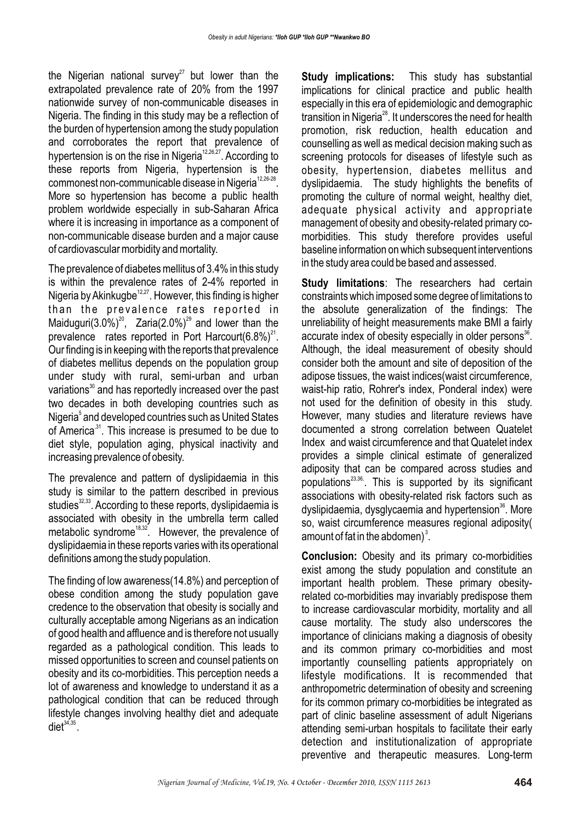the Nigerian national survey<sup>27</sup> but lower than the extrapolated prevalence rate of 20% from the 1997 nationwide survey of non-communicable diseases in Nigeria. The finding in this study may be a reflection of the burden of hypertension among the study population and corroborates the report that prevalence of hypertension is on the rise in Nigeria<sup> $12,26,27$ </sup>. According to these reports from Nigeria, hypertension is the commonest non-communicable disease in Nigeria<sup>12,26-28</sup>. More so hypertension has become a public health problem worldwide especially in sub-Saharan Africa where it is increasing in importance as a component of non-communicable disease burden and a major cause of cardiovascular morbidity and mortality.

The prevalence of diabetes mellitus of 3.4% in this study is within the prevalence rates of 2-4% reported in Nigeria by Akinkugbe<sup>12,27</sup>. However, this finding is higher than the prevalence rates reported in Maiduguri(3.0%)<sup>20</sup>, Zaria(2.0%)<sup>29</sup> and lower than the prevalence rates reported in Port Harcourt(6.8%)<sup>21</sup>. Our finding is in keeping with the reports that prevalence of diabetes mellitus depends on the population group under study with rural, semi-urban and urban variations<sup>30</sup> and has reportedly increased over the past two decades in both developing countries such as Nigeria<sup>5</sup> and developed countries such as United States of America<sup>31</sup>. This increase is presumed to be due to diet style, population aging, physical inactivity and increasing prevalence of obesity.

The prevalence and pattern of dyslipidaemia in this study is similar to the pattern described in previous studies<sup>32,33</sup>. According to these reports, dyslipidaemia is associated with obesity in the umbrella term called metabolic syndrome<sup>18,32</sup>. However, the prevalence of dyslipidaemia in these reports varies with its operational definitions among the study population.

The finding of low awareness(14.8%) and perception of obese condition among the study population gave credence to the observation that obesity is socially and culturally acceptable among Nigerians as an indication of good health and affluence and is therefore not usually regarded as a pathological condition. This leads to missed opportunities to screen and counsel patients on obesity and its co-morbidities. This perception needs a lot of awareness and knowledge to understand it as a pathological condition that can be reduced through lifestyle changes involving healthy diet and adequate  $\text{dist}^{34,35}$ .

**Study implications:** This study has substantial implications for clinical practice and public health especially in this era of epidemiologic and demographic transition in Nigeria<sup>28</sup>. It underscores the need for health promotion, risk reduction, health education and counselling as well as medical decision making such as screening protocols for diseases of lifestyle such as obesity, hypertension, diabetes mellitus and dyslipidaemia. The study highlights the benefits of promoting the culture of normal weight, healthy diet, adequate physical activity and appropriate management of obesity and obesity-related primary comorbidities. This study therefore provides useful baseline information on which subsequent interventions in the study area could be based and assessed.

**Study limitations**: The researchers had certain constraints which imposed some degree of limitations to the absolute generalization of the findings: The unreliability of height measurements make BMI a fairly accurate index of obesity especially in older persons<sup>36</sup>. Although, the ideal measurement of obesity should consider both the amount and site of deposition of the adipose tissues, the waist indices(waist circumference, waist-hip ratio, Rohrer's index, Ponderal index) were not used for the definition of obesity in this study. However, many studies and literature reviews have documented a strong correlation between Quatelet Index and waist circumference and that Quatelet index provides a simple clinical estimate of generalized adiposity that can be compared across studies and populations<sup>23,36</sup>. This is supported by its significant associations with obesity-related risk factors such as dyslipidaemia, dysglycaemia and hypertension<sup>36</sup>. More so, waist circumference measures regional adiposity( amount of fat in the abdomen)<sup>3</sup>.

**Conclusion:** Obesity and its primary co-morbidities exist among the study population and constitute an important health problem. These primary obesityrelated co-morbidities may invariably predispose them to increase cardiovascular morbidity, mortality and all cause mortality. The study also underscores the importance of clinicians making a diagnosis of obesity and its common primary co-morbidities and most importantly counselling patients appropriately on lifestyle modifications. It is recommended that anthropometric determination of obesity and screening for its common primary co-morbidities be integrated as part of clinic baseline assessment of adult Nigerians attending semi-urban hospitals to facilitate their early detection and institutionalization of appropriate preventive and therapeutic measures. Long-term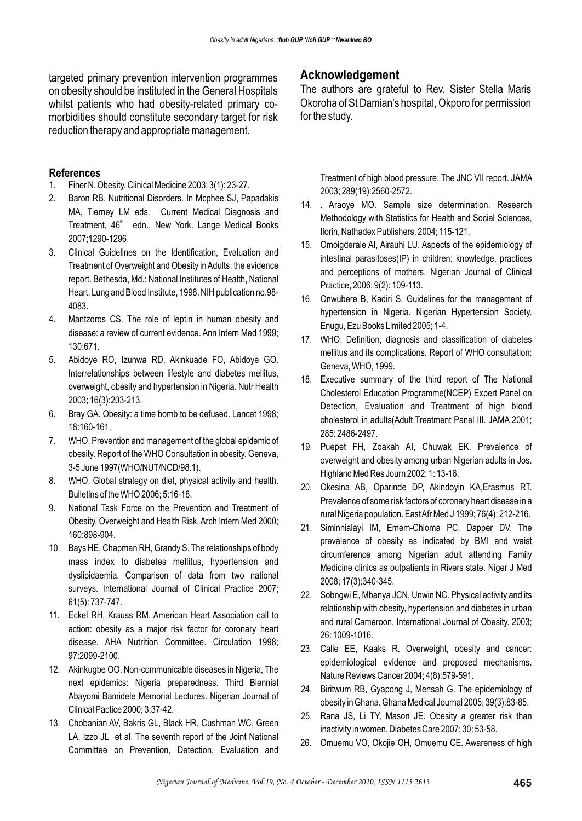targeted primary prevention intervention programmes on obesity should be instituted in the General Hospitals whilst patients who had obesity-related primary comorbidities should constitute secondary target for risk reduction therapy and appropriate management.

### **References**

- 1. Finer N. Obesity. Clinical Medicine 2003; 3(1): 23-27.
- 2. Baron RB. Nutritional Disorders. In Mcphee SJ, Papadakis MA, Tierney LM eds. Current Medical Diagnosis and Treatment, 46<sup>th</sup> edn., New York. Lange Medical Books 2007;1290-1296.
- 3. Clinical Guidelines on the Identification, Evaluation and Treatment of Overweight and Obesity in Adults: the evidence report. Bethesda, Md.: National Institutes of Health, National Heart, Lung and Blood Institute, 1998. NIH publication no.98- 4083.
- 4. Mantzoros CS. The role of leptin in human obesity and disease: a review of current evidence. Ann Intern Med 1999; 130:671.
- 5. Abidoye RO, Izunwa RD, Akinkuade FO, Abidoye GO. Interrelationships between lifestyle and diabetes mellitus, overweight, obesity and hypertension in Nigeria. Nutr Health 2003; 16(3):203-213.
- 6. Bray GA. Obesity: a time bomb to be defused. Lancet 1998; 18:160-161.
- 7. WHO. Prevention and management of the global epidemic of obesity. Report of the WHO Consultation in obesity. Geneva, 3-5 June 1997(WHO/NUT/NCD/98.1).
- 8. WHO. Global strategy on diet, physical activity and health. Bulletins of the WHO 2006; 5:16-18.
- 9. National Task Force on the Prevention and Treatment of Obesity, Overweight and Health Risk. Arch Intern Med 2000; 160:898-904.
- 10. Bays HE, Chapman RH, Grandy S. The relationships of body mass index to diabetes mellitus, hypertension and dyslipidaemia. Comparison of data from two national surveys. International Journal of Clinical Practice 2007; 61(5): 737-747.
- 11. Eckel RH, Krauss RM. American Heart Association call to action: obesity as a major risk factor for coronary heart disease. AHA Nutrition Committee. Circulation 1998; 97:2099-2100.
- 12. Akinkugbe OO. Non-communicable diseases in Nigeria, The next epidemics: Nigeria preparedness. Third Biennial Abayomi Bamidele Memorial Lectures. Nigerian Journal of Clinical Pactice 2000; 3:37-42.
- 13. Chobanian AV, Bakris GL, Black HR, Cushman WC, Green LA, Izzo JL et al. The seventh report of the Joint National Committee on Prevention, Detection, Evaluation and

### **Acknowledgement**

The authors are grateful to Rev. Sister Stella Maris Okoroha of St Damian's hospital, Okporo for permission for the study.

Treatment of high blood pressure: The JNC VII report. JAMA 2003; 289(19):2560-2572.

- 14. . Araoye MO. Sample size determination. Research Methodology with Statistics for Health and Social Sciences, Ilorin, Nathadex Publishers, 2004; 115-121.
- 15. Omoigderale AI, Airauhi LU. Aspects of the epidemiology of intestinal parasitoses(IP) in children: knowledge, practices and perceptions of mothers. Nigerian Journal of Clinical Practice, 2006; 9(2): 109-113.
- 16. Onwubere B, Kadiri S. Guidelines for the management of hypertension in Nigeria. Nigerian Hypertension Society. Enugu, Ezu Books Limited 2005; 1-4.
- 17. WHO. Definition, diagnosis and classification of diabetes mellitus and its complications. Report of WHO consultation: Geneva, WHO, 1999.
- 18. Executive summary of the third report of The National Cholesterol Education Programme(NCEP) Expert Panel on Detection, Evaluation and Treatment of high blood cholesterol in adults(Adult Treatment Panel III. JAMA 2001; 285: 2486-2497.
- 19. Puepet FH, Zoakah AI, Chuwak EK. Prevalence of overweight and obesity among urban Nigerian adults in Jos. Highland Med Res Journ 2002; 1: 13-16.
- 20. Okesina AB, Oparinde DP, Akindoyin KA,Erasmus RT. Prevalence of some risk factors of coronary heart disease in a rural Nigeria population. East Afr Med J 1999; 76(4): 212-216.
- 21. Siminnialayi IM, Emem-Chioma PC, Dapper DV. The prevalence of obesity as indicated by BMI and waist circumference among Nigerian adult attending Family Medicine clinics as outpatients in Rivers state. Niger J Med 2008; 17(3):340-345.
- 22. Sobngwi E, Mbanya JCN, Unwin NC. Physical activity and its relationship with obesity, hypertension and diabetes in urban and rural Cameroon. International Journal of Obesity. 2003; 26: 1009-1016.
- 23. Calle EE, Kaaks R. Overweight, obesity and cancer: epidemiological evidence and proposed mechanisms. Nature Reviews Cancer 2004; 4(8):579-591.
- 24. Biritwum RB, Gyapong J, Mensah G. The epidemiology of obesity in Ghana. Ghana Medical Journal 2005; 39(3):83-85.
- 25. Rana JS, Li TY, Mason JE. Obesity a greater risk than inactivity in women. Diabetes Care 2007; 30: 53-58.
- 26. Omuemu VO, Okojie OH, Omuemu CE. Awareness of high